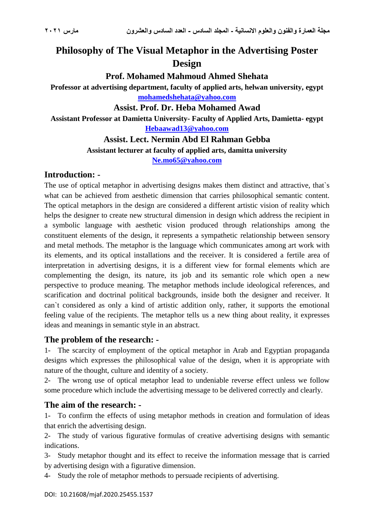# **Philosophy of The Visual Metaphor in the Advertising Poster Design**

#### **Prof. Mohamed Mahmoud Ahmed Shehata**

**Professor at advertising department, faculty of applied arts, helwan university, egypt [mohamedshehata@yahoo.com](mailto:mohamedshehata@yahoo.com)**

#### **Assist. Prof. Dr. Heba Mohamed Awad**

**Assistant Professor at Damietta University- Faculty of Applied Arts, Damietta- egypt [Hebaawad13@yahoo.com](mailto:Hebaawad13@yahoo.com)**

# **Assist. Lect. Nermin Abd El Rahman Gebba**

**Assistant lecturer at faculty of applied arts, damitta university**

**[Ne.mo65@yahoo.com](mailto:Ne.mo65@yahoo.com)**

### **Introduction: -**

The use of optical metaphor in advertising designs makes them distinct and attractive, that`s what can be achieved from aesthetic dimension that carries philosophical semantic content. The optical metaphors in the design are considered a different artistic vision of reality which helps the designer to create new structural dimension in design which address the recipient in a symbolic language with aesthetic vision produced through relationships among the constituent elements of the design, it represents a sympathetic relationship between sensory and metal methods. The metaphor is the language which communicates among art work with its elements, and its optical installations and the receiver. It is considered a fertile area of interpretation in advertising designs, it is a different view for formal elements which are complementing the design, its nature, its job and its semantic role which open a new perspective to produce meaning. The metaphor methods include ideological references, and scarification and doctrinal political backgrounds, inside both the designer and receiver. It can`t considered as only a kind of artistic addition only, rather, it supports the emotional feeling value of the recipients. The metaphor tells us a new thing about reality, it expresses ideas and meanings in semantic style in an abstract.

#### **The problem of the research: -**

1- The scarcity of employment of the optical metaphor in Arab and Egyptian propaganda designs which expresses the philosophical value of the design, when it is appropriate with nature of the thought, culture and identity of a society.

2- The wrong use of optical metaphor lead to undeniable reverse effect unless we follow some procedure which include the advertising message to be delivered correctly and clearly.

# **The aim of the research: -**

1- To confirm the effects of using metaphor methods in creation and formulation of ideas that enrich the advertising design.

2- The study of various figurative formulas of creative advertising designs with semantic indications.

3- Study metaphor thought and its effect to receive the information message that is carried by advertising design with a figurative dimension.

4- Study the role of metaphor methods to persuade recipients of advertising.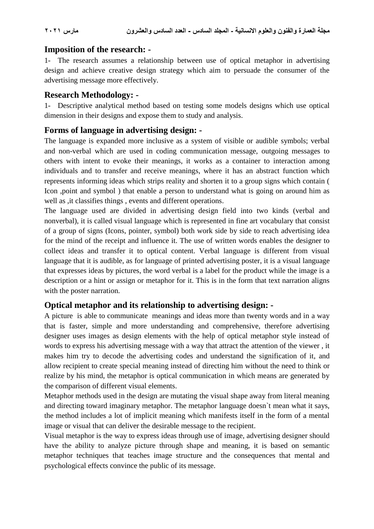#### **Imposition of the research: -**

1- The research assumes a relationship between use of optical metaphor in advertising design and achieve creative design strategy which aim to persuade the consumer of the advertising message more effectively.

### **Research Methodology: -**

1- Descriptive analytical method based on testing some models designs which use optical dimension in their designs and expose them to study and analysis.

## **Forms of language in advertising design: -**

The language is expanded more inclusive as a system of visible or audible symbols; verbal and non-verbal which are used in coding communication message, outgoing messages to others with intent to evoke their meanings, it works as a container to interaction among individuals and to transfer and receive meanings, where it has an abstract function which represents informing ideas which strips reality and shorten it to a group signs which contain ( Icon ,point and symbol ) that enable a person to understand what is going on around him as well as ,it classifies things , events and different operations.

The language used are divided in advertising design field into two kinds (verbal and nonverbal), it is called visual language which is represented in fine art vocabulary that consist of a group of signs (Icons, pointer, symbol) both work side by side to reach advertising idea for the mind of the receipt and influence it. The use of written words enables the designer to collect ideas and transfer it to optical content. Verbal language is different from visual language that it is audible, as for language of printed advertising poster, it is a visual language that expresses ideas by pictures, the word verbal is a label for the product while the image is a description or a hint or assign or metaphor for it. This is in the form that text narration aligns with the poster narration.

# **Optical metaphor and its relationship to advertising design: -**

A picture is able to communicate meanings and ideas more than twenty words and in a way that is faster, simple and more understanding and comprehensive, therefore advertising designer uses images as design elements with the help of optical metaphor style instead of words to express his advertising message with a way that attract the attention of the viewer , it makes him try to decode the advertising codes and understand the signification of it, and allow recipient to create special meaning instead of directing him without the need to think or realize by his mind, the metaphor is optical communication in which means are generated by the comparison of different visual elements.

Metaphor methods used in the design are mutating the visual shape away from literal meaning and directing toward imaginary metaphor. The metaphor language doesn`t mean what it says, the method includes a lot of implicit meaning which manifests itself in the form of a mental image or visual that can deliver the desirable message to the recipient.

Visual metaphor is the way to express ideas through use of image, advertising designer should have the ability to analyze picture through shape and meaning, it is based on semantic metaphor techniques that teaches image structure and the consequences that mental and psychological effects convince the public of its message.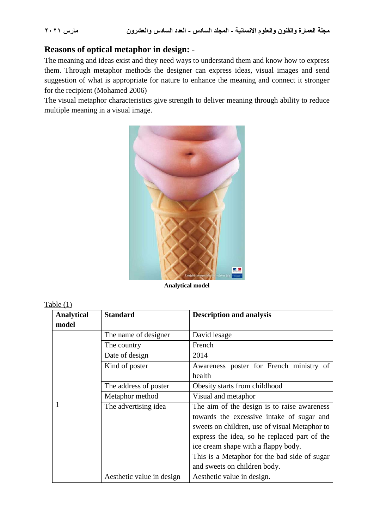# **Reasons of optical metaphor in design: -**

The meaning and ideas exist and they need ways to understand them and know how to express them. Through metaphor methods the designer can express ideas, visual images and send suggestion of what is appropriate for nature to enhance the meaning and connect it stronger for the recipient (Mohamed 2006)

The visual metaphor characteristics give strength to deliver meaning through ability to reduce multiple meaning in a visual image.



**Analytical model**

| anie |  |
|------|--|
|      |  |

| <b>Analytical</b> | <b>Standard</b>           | <b>Description and analysis</b>               |
|-------------------|---------------------------|-----------------------------------------------|
| model             |                           |                                               |
|                   | The name of designer      | David lesage                                  |
|                   | The country               | French                                        |
|                   | Date of design            | 2014                                          |
|                   | Kind of poster            | Awareness poster for French ministry of       |
|                   |                           | health                                        |
|                   | The address of poster     | Obesity starts from childhood                 |
|                   | Metaphor method           | Visual and metaphor                           |
| 1                 | The advertising idea      | The aim of the design is to raise awareness   |
|                   |                           | towards the excessive intake of sugar and     |
|                   |                           | sweets on children, use of visual Metaphor to |
|                   |                           | express the idea, so he replaced part of the  |
|                   |                           | ice cream shape with a flappy body.           |
|                   |                           | This is a Metaphor for the bad side of sugar  |
|                   |                           | and sweets on children body.                  |
|                   | Aesthetic value in design | Aesthetic value in design.                    |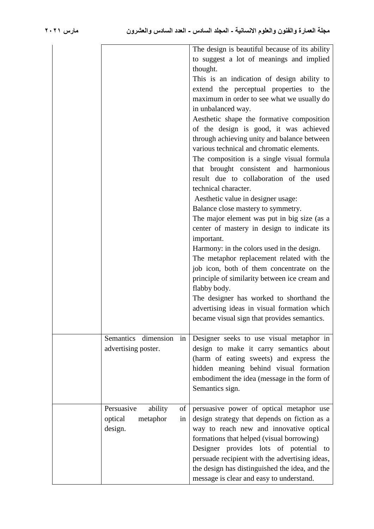|                             | The design is beautiful because of its ability<br>to suggest a lot of meanings and implied |
|-----------------------------|--------------------------------------------------------------------------------------------|
|                             | thought.                                                                                   |
|                             |                                                                                            |
|                             | This is an indication of design ability to                                                 |
|                             | extend the perceptual properties to the                                                    |
|                             | maximum in order to see what we usually do                                                 |
|                             | in unbalanced way.                                                                         |
|                             | Aesthetic shape the formative composition                                                  |
|                             | of the design is good, it was achieved                                                     |
|                             | through achieving unity and balance between                                                |
|                             | various technical and chromatic elements.                                                  |
|                             | The composition is a single visual formula                                                 |
|                             | that brought consistent and harmonious                                                     |
|                             | result due to collaboration of the used                                                    |
|                             | technical character.                                                                       |
|                             | Aesthetic value in designer usage:                                                         |
|                             |                                                                                            |
|                             | Balance close mastery to symmetry.                                                         |
|                             | The major element was put in big size (as a                                                |
|                             | center of mastery in design to indicate its                                                |
|                             | important.                                                                                 |
|                             | Harmony: in the colors used in the design.                                                 |
|                             | The metaphor replacement related with the                                                  |
|                             | job icon, both of them concentrate on the                                                  |
|                             | principle of similarity between ice cream and                                              |
|                             | flabby body.                                                                               |
|                             | The designer has worked to shorthand the                                                   |
|                             | advertising ideas in visual formation which                                                |
|                             | became visual sign that provides semantics.                                                |
|                             |                                                                                            |
| Semantics dimension in      | Designer seeks to use visual metaphor in                                                   |
|                             |                                                                                            |
| advertising poster.         | design to make it carry semantics about                                                    |
|                             | (harm of eating sweets) and express the                                                    |
|                             | hidden meaning behind visual formation                                                     |
|                             | embodiment the idea (message in the form of                                                |
|                             | Semantics sign.                                                                            |
|                             |                                                                                            |
| Persuasive<br>of<br>ability | persuasive power of optical metaphor use                                                   |
| optical<br>metaphor<br>in   | design strategy that depends on fiction as a                                               |
| design.                     | way to reach new and innovative optical                                                    |
|                             | formations that helped (visual borrowing)                                                  |
|                             | Designer provides lots of potential to                                                     |
|                             | persuade recipient with the advertising ideas,                                             |
|                             | the design has distinguished the idea, and the                                             |
|                             | message is clear and easy to understand.                                                   |
|                             |                                                                                            |